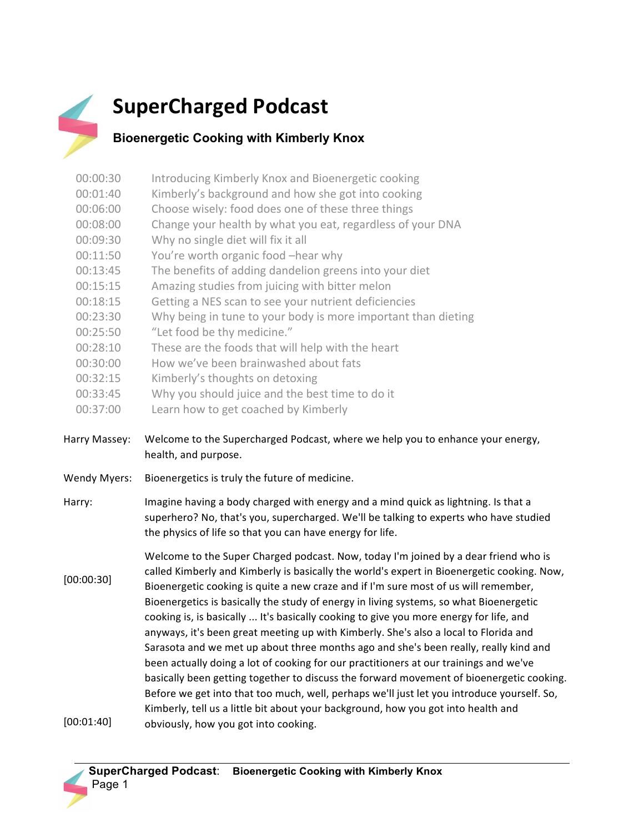

## **SuperCharged Podcast**

## **Bioenergetic Cooking with Kimberly Knox**

- 00:00:30 Introducing Kimberly Knox and Bioenergetic cooking 00:01:40 Kimberly's background and how she got into cooking 00:06:00 Choose wisely: food does one of these three things
- 00:08:00 Change your health by what you eat, regardless of your DNA
- 00:09:30 Why no single diet will fix it all
- 00:11:50 You're worth organic food -hear why
- 00:13:45 The benefits of adding dandelion greens into your diet
- 00:15:15 Amazing studies from juicing with bitter melon
- 00:18:15 Getting a NES scan to see your nutrient deficiencies
- 00:23:30 Why being in tune to your body is more important than dieting
- 00:25:50 "Let food be thy medicine."
- 00:28:10 These are the foods that will help with the heart
- 00:30:00 How we've been brainwashed about fats
- 00:32:15 Kimberly's thoughts on detoxing
- 00:33:45 Why you should juice and the best time to do it
- 00:37:00 Learn how to get coached by Kimberly
- Harry Massey: Welcome to the Supercharged Podcast, where we help you to enhance your energy, health, and purpose.
- Wendy Myers: Bioenergetics is truly the future of medicine.
- Harry: Imagine having a body charged with energy and a mind quick as lightning. Is that a superhero? No, that's you, supercharged. We'll be talking to experts who have studied the physics of life so that you can have energy for life.

[00:00:30] [00:01:40] Welcome to the Super Charged podcast. Now, today I'm joined by a dear friend who is called Kimberly and Kimberly is basically the world's expert in Bioenergetic cooking. Now, Bioenergetic cooking is quite a new craze and if I'm sure most of us will remember, Bioenergetics is basically the study of energy in living systems, so what Bioenergetic cooking is, is basically ... It's basically cooking to give you more energy for life, and anyways, it's been great meeting up with Kimberly. She's also a local to Florida and Sarasota and we met up about three months ago and she's been really, really kind and been actually doing a lot of cooking for our practitioners at our trainings and we've basically been getting together to discuss the forward movement of bioenergetic cooking. Before we get into that too much, well, perhaps we'll just let you introduce yourself. So, Kimberly, tell us a little bit about your background, how you got into health and obviously, how you got into cooking.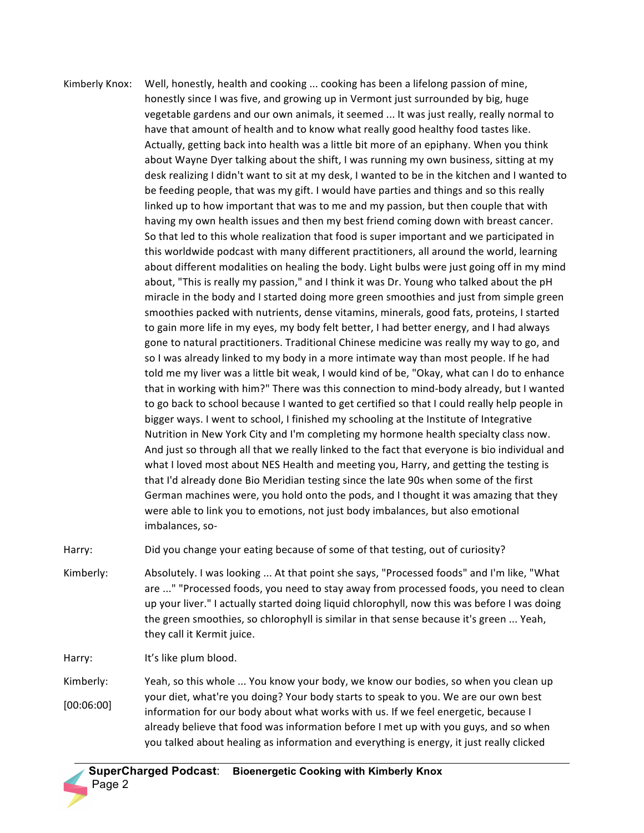Kimberly Knox: Well, honestly, health and cooking ... cooking has been a lifelong passion of mine, honestly since I was five, and growing up in Vermont just surrounded by big, huge vegetable gardens and our own animals, it seemed ... It was just really, really normal to have that amount of health and to know what really good healthy food tastes like. Actually, getting back into health was a little bit more of an epiphany. When you think about Wayne Dyer talking about the shift, I was running my own business, sitting at my desk realizing I didn't want to sit at my desk, I wanted to be in the kitchen and I wanted to be feeding people, that was my gift. I would have parties and things and so this really linked up to how important that was to me and my passion, but then couple that with having my own health issues and then my best friend coming down with breast cancer. So that led to this whole realization that food is super important and we participated in this worldwide podcast with many different practitioners, all around the world, learning about different modalities on healing the body. Light bulbs were just going off in my mind about, "This is really my passion," and I think it was Dr. Young who talked about the pH miracle in the body and I started doing more green smoothies and just from simple green smoothies packed with nutrients, dense vitamins, minerals, good fats, proteins, I started to gain more life in my eyes, my body felt better, I had better energy, and I had always gone to natural practitioners. Traditional Chinese medicine was really my way to go, and so I was already linked to my body in a more intimate way than most people. If he had told me my liver was a little bit weak, I would kind of be, "Okay, what can I do to enhance that in working with him?" There was this connection to mind-body already, but I wanted to go back to school because I wanted to get certified so that I could really help people in bigger ways. I went to school, I finished my schooling at the Institute of Integrative Nutrition in New York City and I'm completing my hormone health specialty class now. And just so through all that we really linked to the fact that everyone is bio individual and what I loved most about NES Health and meeting you, Harry, and getting the testing is that I'd already done Bio Meridian testing since the late 90s when some of the first German machines were, you hold onto the pods, and I thought it was amazing that they were able to link you to emotions, not just body imbalances, but also emotional imbalances, so-

Harry: Did you change your eating because of some of that testing, out of curiosity?

Kimberly: Absolutely. I was looking ... At that point she says, "Processed foods" and I'm like, "What are ..." "Processed foods, you need to stay away from processed foods, you need to clean up your liver." I actually started doing liquid chlorophyll, now this was before I was doing the green smoothies, so chlorophyll is similar in that sense because it's green ... Yeah, they call it Kermit juice.

Harry: It's like plum blood.

Kimberly: [00:06:00] Yeah, so this whole ... You know your body, we know our bodies, so when you clean up your diet, what're you doing? Your body starts to speak to you. We are our own best information for our body about what works with us. If we feel energetic, because I already believe that food was information before I met up with you guys, and so when you talked about healing as information and everything is energy, it just really clicked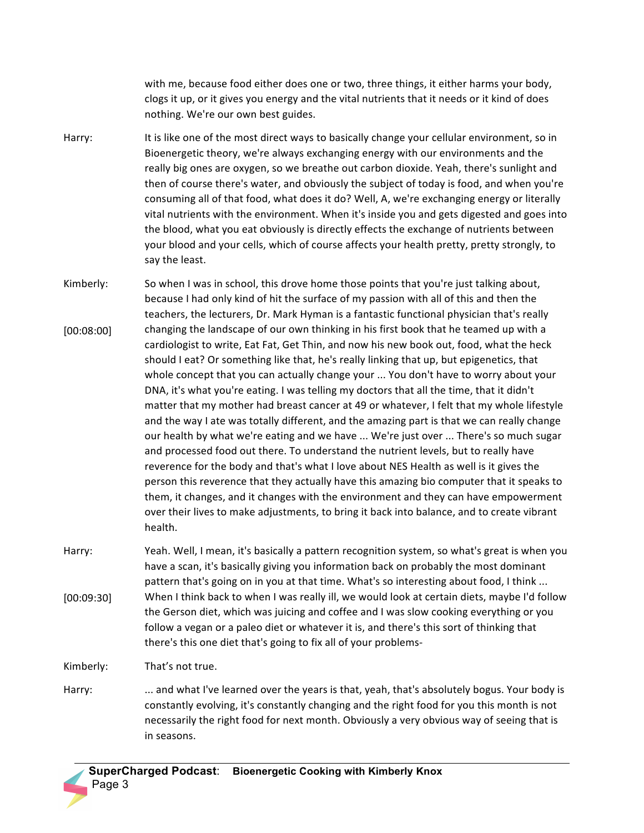with me, because food either does one or two, three things, it either harms your body, clogs it up, or it gives you energy and the vital nutrients that it needs or it kind of does nothing. We're our own best guides.

- Harry: It is like one of the most direct ways to basically change your cellular environment, so in Bioenergetic theory, we're always exchanging energy with our environments and the really big ones are oxygen, so we breathe out carbon dioxide. Yeah, there's sunlight and then of course there's water, and obviously the subject of today is food, and when you're consuming all of that food, what does it do? Well, A, we're exchanging energy or literally vital nutrients with the environment. When it's inside you and gets digested and goes into the blood, what you eat obviously is directly effects the exchange of nutrients between your blood and your cells, which of course affects your health pretty, pretty strongly, to say the least.
- Kimberly: [00:08:00] So when I was in school, this drove home those points that you're just talking about, because I had only kind of hit the surface of my passion with all of this and then the teachers, the lecturers, Dr. Mark Hyman is a fantastic functional physician that's really changing the landscape of our own thinking in his first book that he teamed up with a cardiologist to write, Eat Fat, Get Thin, and now his new book out, food, what the heck should I eat? Or something like that, he's really linking that up, but epigenetics, that whole concept that you can actually change your ... You don't have to worry about your DNA, it's what you're eating. I was telling my doctors that all the time, that it didn't matter that my mother had breast cancer at 49 or whatever, I felt that my whole lifestyle and the way I ate was totally different, and the amazing part is that we can really change our health by what we're eating and we have ... We're just over ... There's so much sugar and processed food out there. To understand the nutrient levels, but to really have reverence for the body and that's what I love about NES Health as well is it gives the person this reverence that they actually have this amazing bio computer that it speaks to them, it changes, and it changes with the environment and they can have empowerment over their lives to make adjustments, to bring it back into balance, and to create vibrant health.
- Harry: [00:09:30] Yeah. Well, I mean, it's basically a pattern recognition system, so what's great is when you have a scan, it's basically giving you information back on probably the most dominant pattern that's going on in you at that time. What's so interesting about food, I think ... When I think back to when I was really ill, we would look at certain diets, maybe I'd follow the Gerson diet, which was juicing and coffee and I was slow cooking everything or you follow a vegan or a paleo diet or whatever it is, and there's this sort of thinking that there's this one diet that's going to fix all of your problems-

Kimberly: That's not true.

Harry: ... and what I've learned over the years is that, yeah, that's absolutely bogus. Your body is constantly evolving, it's constantly changing and the right food for you this month is not necessarily the right food for next month. Obviously a very obvious way of seeing that is in seasons.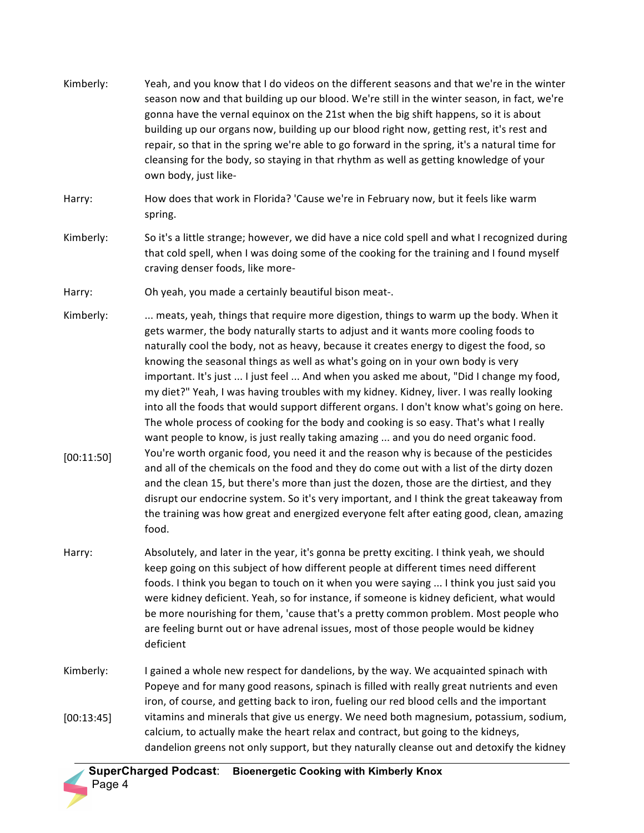| Kimberly:               | Yeah, and you know that I do videos on the different seasons and that we're in the winter<br>season now and that building up our blood. We're still in the winter season, in fact, we're<br>gonna have the vernal equinox on the 21st when the big shift happens, so it is about<br>building up our organs now, building up our blood right now, getting rest, it's rest and<br>repair, so that in the spring we're able to go forward in the spring, it's a natural time for<br>cleansing for the body, so staying in that rhythm as well as getting knowledge of your<br>own body, just like-                                                                                                                                                                                                                                                                                                                                                                                                                                                                                                                                                                                                                                                                                                                   |
|-------------------------|-------------------------------------------------------------------------------------------------------------------------------------------------------------------------------------------------------------------------------------------------------------------------------------------------------------------------------------------------------------------------------------------------------------------------------------------------------------------------------------------------------------------------------------------------------------------------------------------------------------------------------------------------------------------------------------------------------------------------------------------------------------------------------------------------------------------------------------------------------------------------------------------------------------------------------------------------------------------------------------------------------------------------------------------------------------------------------------------------------------------------------------------------------------------------------------------------------------------------------------------------------------------------------------------------------------------|
| Harry:                  | How does that work in Florida? 'Cause we're in February now, but it feels like warm<br>spring.                                                                                                                                                                                                                                                                                                                                                                                                                                                                                                                                                                                                                                                                                                                                                                                                                                                                                                                                                                                                                                                                                                                                                                                                                    |
| Kimberly:               | So it's a little strange; however, we did have a nice cold spell and what I recognized during<br>that cold spell, when I was doing some of the cooking for the training and I found myself<br>craving denser foods, like more-                                                                                                                                                                                                                                                                                                                                                                                                                                                                                                                                                                                                                                                                                                                                                                                                                                                                                                                                                                                                                                                                                    |
| Harry:                  | Oh yeah, you made a certainly beautiful bison meat-.                                                                                                                                                                                                                                                                                                                                                                                                                                                                                                                                                                                                                                                                                                                                                                                                                                                                                                                                                                                                                                                                                                                                                                                                                                                              |
| Kimberly:<br>[00:11:50] | meats, yeah, things that require more digestion, things to warm up the body. When it<br>gets warmer, the body naturally starts to adjust and it wants more cooling foods to<br>naturally cool the body, not as heavy, because it creates energy to digest the food, so<br>knowing the seasonal things as well as what's going on in your own body is very<br>important. It's just  I just feel  And when you asked me about, "Did I change my food,<br>my diet?" Yeah, I was having troubles with my kidney. Kidney, liver. I was really looking<br>into all the foods that would support different organs. I don't know what's going on here.<br>The whole process of cooking for the body and cooking is so easy. That's what I really<br>want people to know, is just really taking amazing  and you do need organic food.<br>You're worth organic food, you need it and the reason why is because of the pesticides<br>and all of the chemicals on the food and they do come out with a list of the dirty dozen<br>and the clean 15, but there's more than just the dozen, those are the dirtiest, and they<br>disrupt our endocrine system. So it's very important, and I think the great takeaway from<br>the training was how great and energized everyone felt after eating good, clean, amazing<br>food. |
| Harry:                  | Absolutely, and later in the year, it's gonna be pretty exciting. I think yeah, we should<br>keep going on this subject of how different people at different times need different<br>foods. I think you began to touch on it when you were saying  I think you just said you<br>were kidney deficient. Yeah, so for instance, if someone is kidney deficient, what would<br>be more nourishing for them, 'cause that's a pretty common problem. Most people who<br>are feeling burnt out or have adrenal issues, most of those people would be kidney<br>deficient                                                                                                                                                                                                                                                                                                                                                                                                                                                                                                                                                                                                                                                                                                                                                |
| Kimberly:<br>[00:13:45] | I gained a whole new respect for dandelions, by the way. We acquainted spinach with<br>Popeye and for many good reasons, spinach is filled with really great nutrients and even<br>iron, of course, and getting back to iron, fueling our red blood cells and the important<br>vitamins and minerals that give us energy. We need both magnesium, potassium, sodium,<br>calcium, to actually make the heart relax and contract, but going to the kidneys,<br>dandelion greens not only support, but they naturally cleanse out and detoxify the kidney                                                                                                                                                                                                                                                                                                                                                                                                                                                                                                                                                                                                                                                                                                                                                            |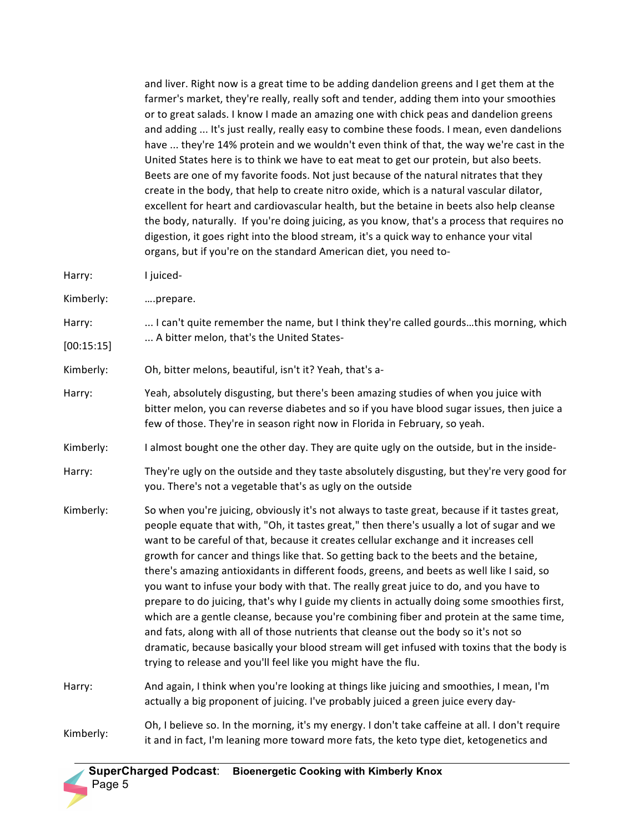and liver. Right now is a great time to be adding dandelion greens and I get them at the farmer's market, they're really, really soft and tender, adding them into your smoothies or to great salads. I know I made an amazing one with chick peas and dandelion greens and adding ... It's just really, really easy to combine these foods. I mean, even dandelions have ... they're 14% protein and we wouldn't even think of that, the way we're cast in the United States here is to think we have to eat meat to get our protein, but also beets. Beets are one of my favorite foods. Not just because of the natural nitrates that they create in the body, that help to create nitro oxide, which is a natural vascular dilator, excellent for heart and cardiovascular health, but the betaine in beets also help cleanse the body, naturally. If you're doing juicing, as you know, that's a process that requires no digestion, it goes right into the blood stream, it's a quick way to enhance your vital organs, but if you're on the standard American diet, you need to-

- Harry: I juiced-
- Kimberly: ….prepare.
- Harry: [00:15:15] ... I can't quite remember the name, but I think they're called gourds...this morning, which ... A bitter melon, that's the United States-
- Kimberly: Oh, bitter melons, beautiful, isn't it? Yeah, that's a-
- Harry: Yeah, absolutely disgusting, but there's been amazing studies of when you juice with bitter melon, you can reverse diabetes and so if you have blood sugar issues, then juice a few of those. They're in season right now in Florida in February, so yeah.
- Kimberly: I almost bought one the other day. They are quite ugly on the outside, but in the inside-
- Harry: They're ugly on the outside and they taste absolutely disgusting, but they're very good for you. There's not a vegetable that's as ugly on the outside
- Kimberly: So when you're juicing, obviously it's not always to taste great, because if it tastes great, people equate that with, "Oh, it tastes great," then there's usually a lot of sugar and we want to be careful of that, because it creates cellular exchange and it increases cell growth for cancer and things like that. So getting back to the beets and the betaine, there's amazing antioxidants in different foods, greens, and beets as well like I said, so you want to infuse your body with that. The really great juice to do, and you have to prepare to do juicing, that's why I guide my clients in actually doing some smoothies first, which are a gentle cleanse, because you're combining fiber and protein at the same time, and fats, along with all of those nutrients that cleanse out the body so it's not so dramatic, because basically your blood stream will get infused with toxins that the body is trying to release and you'll feel like you might have the flu.
- Harry: And again, I think when you're looking at things like juicing and smoothies, I mean, I'm actually a big proponent of juicing. I've probably juiced a green juice every day-
- Kimberly: Oh, I believe so. In the morning, it's my energy. I don't take caffeine at all. I don't require it and in fact, I'm leaning more toward more fats, the keto type diet, ketogenetics and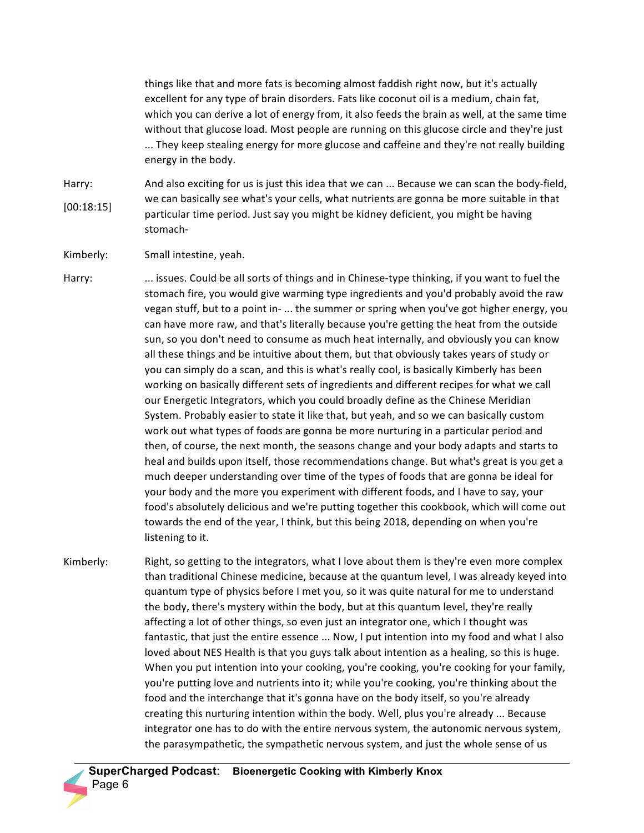things like that and more fats is becoming almost faddish right now, but it's actually excellent for any type of brain disorders. Fats like coconut oil is a medium, chain fat, which you can derive a lot of energy from, it also feeds the brain as well, at the same time without that glucose load. Most people are running on this glucose circle and they're just ... They keep stealing energy for more glucose and caffeine and they're not really building energy in the body.

Harry: [00:18:15] And also exciting for us is just this idea that we can ... Because we can scan the body-field, we can basically see what's your cells, what nutrients are gonna be more suitable in that particular time period. Just say you might be kidney deficient, you might be having stomach-

Kimberly: Small intestine, yeah.

Harry: ... issues. Could be all sorts of things and in Chinese-type thinking, if you want to fuel the stomach fire, you would give warming type ingredients and you'd probably avoid the raw vegan stuff, but to a point in- ... the summer or spring when you've got higher energy, you can have more raw, and that's literally because you're getting the heat from the outside sun, so you don't need to consume as much heat internally, and obviously you can know all these things and be intuitive about them, but that obviously takes years of study or you can simply do a scan, and this is what's really cool, is basically Kimberly has been working on basically different sets of ingredients and different recipes for what we call our Energetic Integrators, which you could broadly define as the Chinese Meridian System. Probably easier to state it like that, but yeah, and so we can basically custom work out what types of foods are gonna be more nurturing in a particular period and then, of course, the next month, the seasons change and your body adapts and starts to heal and builds upon itself, those recommendations change. But what's great is you get a much deeper understanding over time of the types of foods that are gonna be ideal for your body and the more you experiment with different foods, and I have to say, your food's absolutely delicious and we're putting together this cookbook, which will come out towards the end of the year, I think, but this being 2018, depending on when you're listening to it.

Kimberly: Right, so getting to the integrators, what I love about them is they're even more complex than traditional Chinese medicine, because at the quantum level, I was already keyed into quantum type of physics before I met you, so it was quite natural for me to understand the body, there's mystery within the body, but at this quantum level, they're really affecting a lot of other things, so even just an integrator one, which I thought was fantastic, that just the entire essence ... Now, I put intention into my food and what I also loved about NES Health is that you guys talk about intention as a healing, so this is huge. When you put intention into your cooking, you're cooking, you're cooking for your family, you're putting love and nutrients into it; while you're cooking, you're thinking about the food and the interchange that it's gonna have on the body itself, so you're already creating this nurturing intention within the body. Well, plus you're already ... Because integrator one has to do with the entire nervous system, the autonomic nervous system, the parasympathetic, the sympathetic nervous system, and just the whole sense of us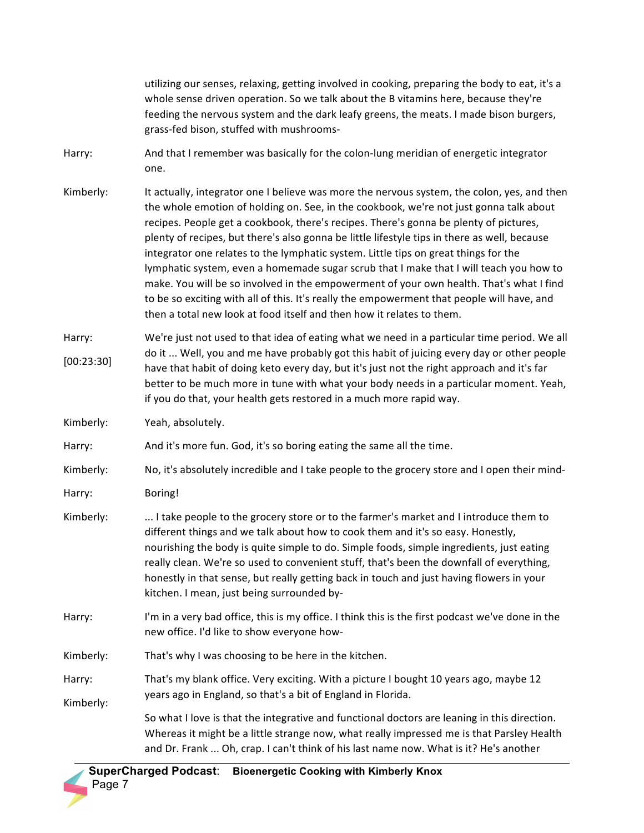utilizing our senses, relaxing, getting involved in cooking, preparing the body to eat, it's a whole sense driven operation. So we talk about the B vitamins here, because they're feeding the nervous system and the dark leafy greens, the meats. I made bison burgers, grass-fed bison, stuffed with mushrooms-Harry: And that I remember was basically for the colon-lung meridian of energetic integrator one.

- Kimberly: It actually, integrator one I believe was more the nervous system, the colon, yes, and then the whole emotion of holding on. See, in the cookbook, we're not just gonna talk about recipes. People get a cookbook, there's recipes. There's gonna be plenty of pictures, plenty of recipes, but there's also gonna be little lifestyle tips in there as well, because integrator one relates to the lymphatic system. Little tips on great things for the lymphatic system, even a homemade sugar scrub that I make that I will teach you how to make. You will be so involved in the empowerment of your own health. That's what I find to be so exciting with all of this. It's really the empowerment that people will have, and then a total new look at food itself and then how it relates to them.
- Harry: [00:23:30] We're just not used to that idea of eating what we need in a particular time period. We all do it ... Well, you and me have probably got this habit of juicing every day or other people have that habit of doing keto every day, but it's just not the right approach and it's far better to be much more in tune with what your body needs in a particular moment. Yeah, if you do that, your health gets restored in a much more rapid way.

Kimberly: Yeah, absolutely.

Harry: And it's more fun. God, it's so boring eating the same all the time.

- Kimberly: No, it's absolutely incredible and I take people to the grocery store and I open their mind-
- Harry: Boring!
- Kimberly: ... I take people to the grocery store or to the farmer's market and I introduce them to different things and we talk about how to cook them and it's so easy. Honestly, nourishing the body is quite simple to do. Simple foods, simple ingredients, just eating really clean. We're so used to convenient stuff, that's been the downfall of everything, honestly in that sense, but really getting back in touch and just having flowers in your kitchen. I mean, just being surrounded by-
- Harry: I'm in a very bad office, this is my office. I think this is the first podcast we've done in the new office. I'd like to show everyone how-
- Kimberly: That's why I was choosing to be here in the kitchen.
- Harry: Kimberly: That's my blank office. Very exciting. With a picture I bought 10 years ago, maybe 12 years ago in England, so that's a bit of England in Florida.

So what I love is that the integrative and functional doctors are leaning in this direction. Whereas it might be a little strange now, what really impressed me is that Parsley Health and Dr. Frank ... Oh, crap. I can't think of his last name now. What is it? He's another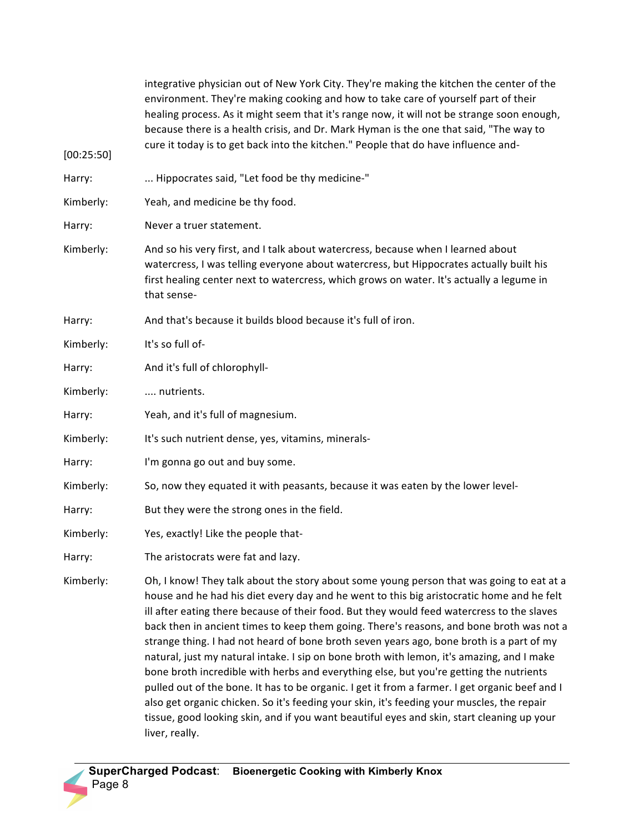| [00:25:50] | integrative physician out of New York City. They're making the kitchen the center of the<br>environment. They're making cooking and how to take care of yourself part of their<br>healing process. As it might seem that it's range now, it will not be strange soon enough,<br>because there is a health crisis, and Dr. Mark Hyman is the one that said, "The way to<br>cure it today is to get back into the kitchen." People that do have influence and-                                                                                                                                                                                                                                                                                                                                                                                                                                                                                                                       |
|------------|------------------------------------------------------------------------------------------------------------------------------------------------------------------------------------------------------------------------------------------------------------------------------------------------------------------------------------------------------------------------------------------------------------------------------------------------------------------------------------------------------------------------------------------------------------------------------------------------------------------------------------------------------------------------------------------------------------------------------------------------------------------------------------------------------------------------------------------------------------------------------------------------------------------------------------------------------------------------------------|
| Harry:     | Hippocrates said, "Let food be thy medicine-"                                                                                                                                                                                                                                                                                                                                                                                                                                                                                                                                                                                                                                                                                                                                                                                                                                                                                                                                      |
| Kimberly:  | Yeah, and medicine be thy food.                                                                                                                                                                                                                                                                                                                                                                                                                                                                                                                                                                                                                                                                                                                                                                                                                                                                                                                                                    |
| Harry:     | Never a truer statement.                                                                                                                                                                                                                                                                                                                                                                                                                                                                                                                                                                                                                                                                                                                                                                                                                                                                                                                                                           |
| Kimberly:  | And so his very first, and I talk about watercress, because when I learned about<br>watercress, I was telling everyone about watercress, but Hippocrates actually built his<br>first healing center next to watercress, which grows on water. It's actually a legume in<br>that sense-                                                                                                                                                                                                                                                                                                                                                                                                                                                                                                                                                                                                                                                                                             |
| Harry:     | And that's because it builds blood because it's full of iron.                                                                                                                                                                                                                                                                                                                                                                                                                                                                                                                                                                                                                                                                                                                                                                                                                                                                                                                      |
| Kimberly:  | It's so full of-                                                                                                                                                                                                                                                                                                                                                                                                                                                                                                                                                                                                                                                                                                                                                                                                                                                                                                                                                                   |
| Harry:     | And it's full of chlorophyll-                                                                                                                                                                                                                                                                                                                                                                                                                                                                                                                                                                                                                                                                                                                                                                                                                                                                                                                                                      |
| Kimberly:  | nutrients.                                                                                                                                                                                                                                                                                                                                                                                                                                                                                                                                                                                                                                                                                                                                                                                                                                                                                                                                                                         |
| Harry:     | Yeah, and it's full of magnesium.                                                                                                                                                                                                                                                                                                                                                                                                                                                                                                                                                                                                                                                                                                                                                                                                                                                                                                                                                  |
| Kimberly:  | It's such nutrient dense, yes, vitamins, minerals-                                                                                                                                                                                                                                                                                                                                                                                                                                                                                                                                                                                                                                                                                                                                                                                                                                                                                                                                 |
| Harry:     | I'm gonna go out and buy some.                                                                                                                                                                                                                                                                                                                                                                                                                                                                                                                                                                                                                                                                                                                                                                                                                                                                                                                                                     |
| Kimberly:  | So, now they equated it with peasants, because it was eaten by the lower level-                                                                                                                                                                                                                                                                                                                                                                                                                                                                                                                                                                                                                                                                                                                                                                                                                                                                                                    |
| Harry:     | But they were the strong ones in the field.                                                                                                                                                                                                                                                                                                                                                                                                                                                                                                                                                                                                                                                                                                                                                                                                                                                                                                                                        |
| Kimberly:  | Yes, exactly! Like the people that-                                                                                                                                                                                                                                                                                                                                                                                                                                                                                                                                                                                                                                                                                                                                                                                                                                                                                                                                                |
| Harry:     | The aristocrats were fat and lazy.                                                                                                                                                                                                                                                                                                                                                                                                                                                                                                                                                                                                                                                                                                                                                                                                                                                                                                                                                 |
| Kimberly:  | Oh, I know! They talk about the story about some young person that was going to eat at a<br>house and he had his diet every day and he went to this big aristocratic home and he felt<br>ill after eating there because of their food. But they would feed watercress to the slaves<br>back then in ancient times to keep them going. There's reasons, and bone broth was not a<br>strange thing. I had not heard of bone broth seven years ago, bone broth is a part of my<br>natural, just my natural intake. I sip on bone broth with lemon, it's amazing, and I make<br>bone broth incredible with herbs and everything else, but you're getting the nutrients<br>pulled out of the bone. It has to be organic. I get it from a farmer. I get organic beef and I<br>also get organic chicken. So it's feeding your skin, it's feeding your muscles, the repair<br>tissue, good looking skin, and if you want beautiful eyes and skin, start cleaning up your<br>liver, really. |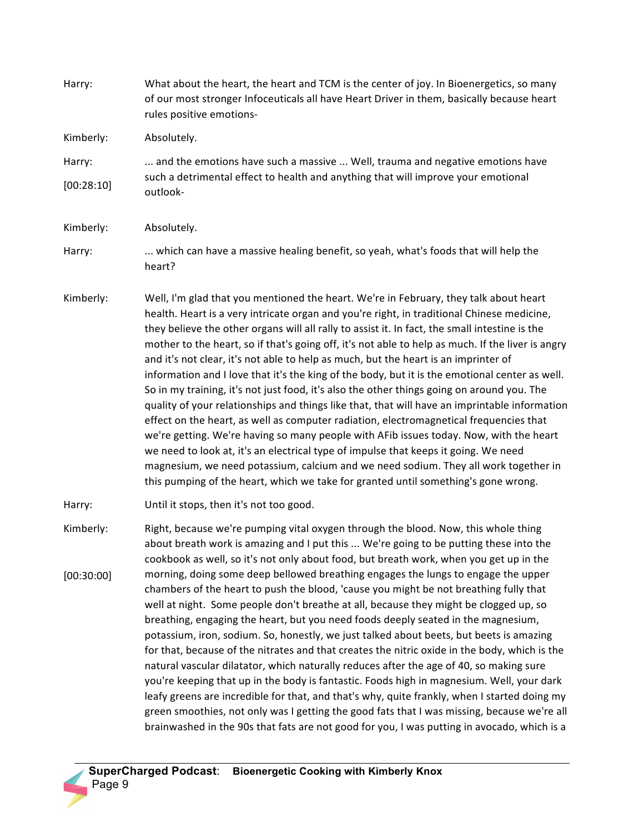Harry: What about the heart, the heart and TCM is the center of joy. In Bioenergetics, so many of our most stronger Infoceuticals all have Heart Driver in them, basically because heart rules positive emotions-Kimberly: Harry: [00:28:10] Absolutely. ... and the emotions have such a massive ... Well, trauma and negative emotions have such a detrimental effect to health and anything that will improve your emotional outlook-Kimberly: Harry: Absolutely. ... which can have a massive healing benefit, so yeah, what's foods that will help the heart? Kimberly: Well, I'm glad that you mentioned the heart. We're in February, they talk about heart health. Heart is a very intricate organ and you're right, in traditional Chinese medicine, they believe the other organs will all rally to assist it. In fact, the small intestine is the mother to the heart, so if that's going off, it's not able to help as much. If the liver is angry and it's not clear, it's not able to help as much, but the heart is an imprinter of information and I love that it's the king of the body, but it is the emotional center as well. So in my training, it's not just food, it's also the other things going on around you. The quality of your relationships and things like that, that will have an imprintable information effect on the heart, as well as computer radiation, electromagnetical frequencies that we're getting. We're having so many people with AFib issues today. Now, with the heart we need to look at, it's an electrical type of impulse that keeps it going. We need magnesium, we need potassium, calcium and we need sodium. They all work together in this pumping of the heart, which we take for granted until something's gone wrong. Harry: Kimberly: [00:30:00] Until it stops, then it's not too good. Right, because we're pumping vital oxygen through the blood. Now, this whole thing about breath work is amazing and I put this ... We're going to be putting these into the cookbook as well, so it's not only about food, but breath work, when you get up in the morning, doing some deep bellowed breathing engages the lungs to engage the upper chambers of the heart to push the blood, 'cause you might be not breathing fully that well at night. Some people don't breathe at all, because they might be clogged up, so breathing, engaging the heart, but you need foods deeply seated in the magnesium, potassium, iron, sodium. So, honestly, we just talked about beets, but beets is amazing for that, because of the nitrates and that creates the nitric oxide in the body, which is the natural vascular dilatator, which naturally reduces after the age of 40, so making sure you're keeping that up in the body is fantastic. Foods high in magnesium. Well, your dark leafy greens are incredible for that, and that's why, quite frankly, when I started doing my green smoothies, not only was I getting the good fats that I was missing, because we're all brainwashed in the 90s that fats are not good for you, I was putting in avocado, which is a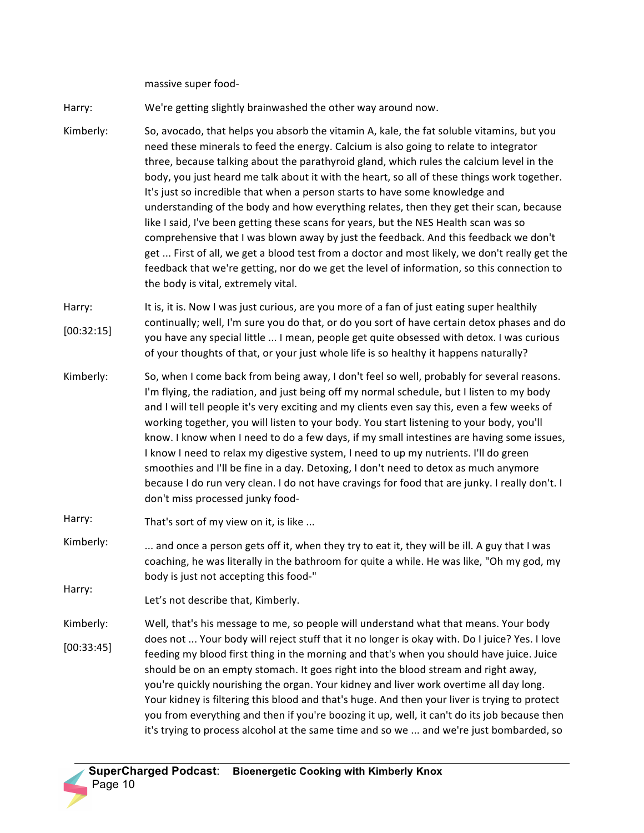massive super food-

Harry: We're getting slightly brainwashed the other way around now.

Kimberly: So, avocado, that helps you absorb the vitamin A, kale, the fat soluble vitamins, but you need these minerals to feed the energy. Calcium is also going to relate to integrator three, because talking about the parathyroid gland, which rules the calcium level in the body, you just heard me talk about it with the heart, so all of these things work together. It's just so incredible that when a person starts to have some knowledge and understanding of the body and how everything relates, then they get their scan, because like I said, I've been getting these scans for years, but the NES Health scan was so comprehensive that I was blown away by just the feedback. And this feedback we don't get ... First of all, we get a blood test from a doctor and most likely, we don't really get the feedback that we're getting, nor do we get the level of information, so this connection to the body is vital, extremely vital.

Harry: [00:32:15] It is, it is. Now I was just curious, are you more of a fan of just eating super healthily continually; well, I'm sure you do that, or do you sort of have certain detox phases and do you have any special little ... I mean, people get quite obsessed with detox. I was curious of your thoughts of that, or your just whole life is so healthy it happens naturally?

Kimberly: So, when I come back from being away, I don't feel so well, probably for several reasons. I'm flying, the radiation, and just being off my normal schedule, but I listen to my body and I will tell people it's very exciting and my clients even say this, even a few weeks of working together, you will listen to your body. You start listening to your body, you'll know. I know when I need to do a few days, if my small intestines are having some issues, I know I need to relax my digestive system, I need to up my nutrients. I'll do green smoothies and I'll be fine in a day. Detoxing, I don't need to detox as much anymore because I do run very clean. I do not have cravings for food that are junky. I really don't. I don't miss processed junky food-

Harry: That's sort of my view on it, is like ...

- Kimberly: ... and once a person gets off it, when they try to eat it, they will be ill. A guy that I was coaching, he was literally in the bathroom for quite a while. He was like, "Oh my god, my body is just not accepting this food-"
- Harry: Let's not describe that, Kimberly.
- Kimberly: [00:33:45] Well, that's his message to me, so people will understand what that means. Your body does not ... Your body will reject stuff that it no longer is okay with. Do I juice? Yes. I love feeding my blood first thing in the morning and that's when you should have juice. Juice should be on an empty stomach. It goes right into the blood stream and right away, you're quickly nourishing the organ. Your kidney and liver work overtime all day long. Your kidney is filtering this blood and that's huge. And then your liver is trying to protect you from everything and then if you're boozing it up, well, it can't do its job because then it's trying to process alcohol at the same time and so we ... and we're just bombarded, so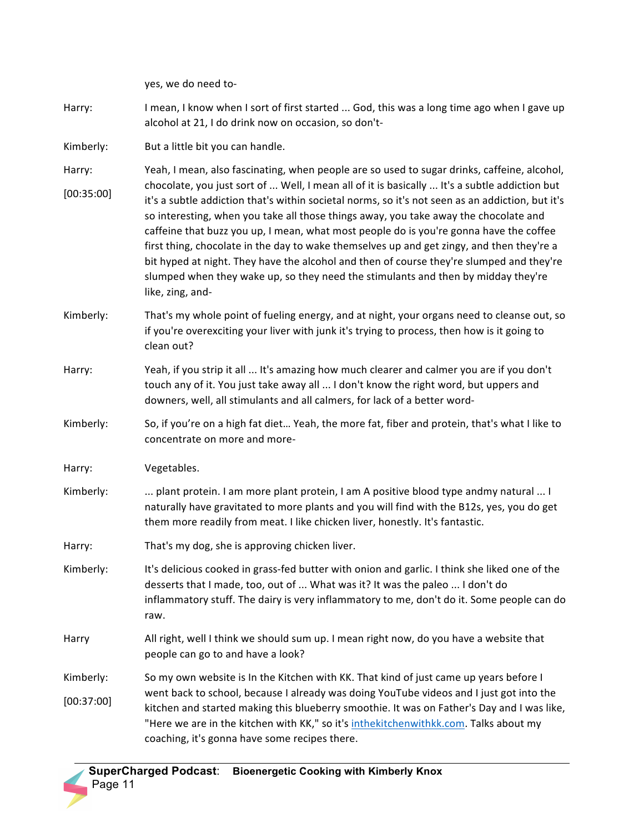|                         | yes, we do need to-                                                                                                                                                                                                                                                                                                                                                                                                                                                                                                                                                                                                                                                                                                                                                                  |
|-------------------------|--------------------------------------------------------------------------------------------------------------------------------------------------------------------------------------------------------------------------------------------------------------------------------------------------------------------------------------------------------------------------------------------------------------------------------------------------------------------------------------------------------------------------------------------------------------------------------------------------------------------------------------------------------------------------------------------------------------------------------------------------------------------------------------|
| Harry:                  | I mean, I know when I sort of first started  God, this was a long time ago when I gave up<br>alcohol at 21, I do drink now on occasion, so don't-                                                                                                                                                                                                                                                                                                                                                                                                                                                                                                                                                                                                                                    |
| Kimberly:               | But a little bit you can handle.                                                                                                                                                                                                                                                                                                                                                                                                                                                                                                                                                                                                                                                                                                                                                     |
| Harry:<br>[00:35:00]    | Yeah, I mean, also fascinating, when people are so used to sugar drinks, caffeine, alcohol,<br>chocolate, you just sort of  Well, I mean all of it is basically  It's a subtle addiction but<br>it's a subtle addiction that's within societal norms, so it's not seen as an addiction, but it's<br>so interesting, when you take all those things away, you take away the chocolate and<br>caffeine that buzz you up, I mean, what most people do is you're gonna have the coffee<br>first thing, chocolate in the day to wake themselves up and get zingy, and then they're a<br>bit hyped at night. They have the alcohol and then of course they're slumped and they're<br>slumped when they wake up, so they need the stimulants and then by midday they're<br>like, zing, and- |
| Kimberly:               | That's my whole point of fueling energy, and at night, your organs need to cleanse out, so<br>if you're overexciting your liver with junk it's trying to process, then how is it going to<br>clean out?                                                                                                                                                                                                                                                                                                                                                                                                                                                                                                                                                                              |
| Harry:                  | Yeah, if you strip it all  It's amazing how much clearer and calmer you are if you don't<br>touch any of it. You just take away all  I don't know the right word, but uppers and<br>downers, well, all stimulants and all calmers, for lack of a better word-                                                                                                                                                                                                                                                                                                                                                                                                                                                                                                                        |
| Kimberly:               | So, if you're on a high fat diet Yeah, the more fat, fiber and protein, that's what I like to<br>concentrate on more and more-                                                                                                                                                                                                                                                                                                                                                                                                                                                                                                                                                                                                                                                       |
| Harry:                  | Vegetables.                                                                                                                                                                                                                                                                                                                                                                                                                                                                                                                                                                                                                                                                                                                                                                          |
| Kimberly:               | plant protein. I am more plant protein, I am A positive blood type andmy natural  I<br>naturally have gravitated to more plants and you will find with the B12s, yes, you do get<br>them more readily from meat. I like chicken liver, honestly. It's fantastic.                                                                                                                                                                                                                                                                                                                                                                                                                                                                                                                     |
| Harry:                  | That's my dog, she is approving chicken liver.                                                                                                                                                                                                                                                                                                                                                                                                                                                                                                                                                                                                                                                                                                                                       |
| Kimberly:               | It's delicious cooked in grass-fed butter with onion and garlic. I think she liked one of the<br>desserts that I made, too, out of  What was it? It was the paleo  I don't do<br>inflammatory stuff. The dairy is very inflammatory to me, don't do it. Some people can do<br>raw.                                                                                                                                                                                                                                                                                                                                                                                                                                                                                                   |
| Harry                   | All right, well I think we should sum up. I mean right now, do you have a website that<br>people can go to and have a look?                                                                                                                                                                                                                                                                                                                                                                                                                                                                                                                                                                                                                                                          |
| Kimberly:<br>[00:37:00] | So my own website is In the Kitchen with KK. That kind of just came up years before I<br>went back to school, because I already was doing YouTube videos and I just got into the<br>kitchen and started making this blueberry smoothie. It was on Father's Day and I was like,<br>"Here we are in the kitchen with KK," so it's inthekitchenwithkk.com. Talks about my<br>coaching, it's gonna have some recipes there.                                                                                                                                                                                                                                                                                                                                                              |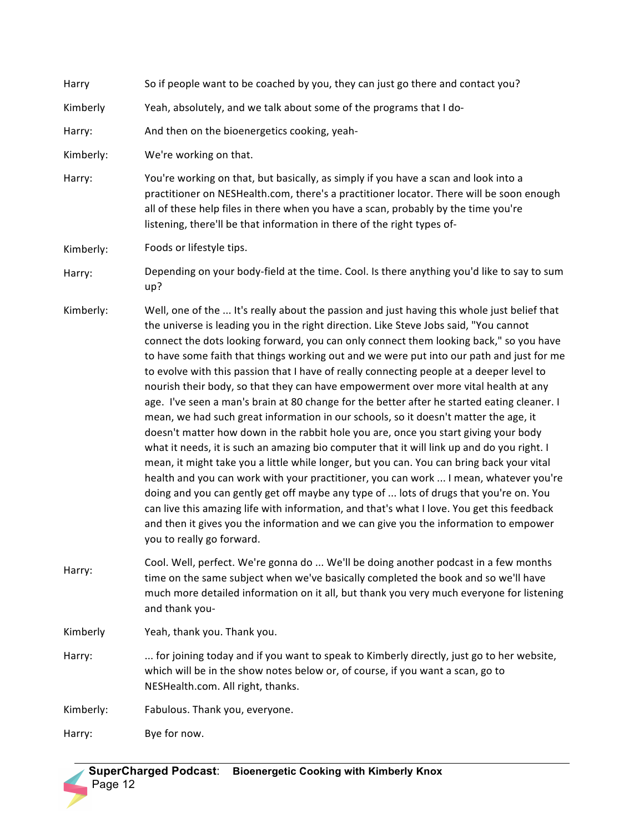| Harry     | So if people want to be coached by you, they can just go there and contact you?                                                                                                                                                                                                                                                                                                                                                                                                                                                                                                                                                                                                                                                                                                                                                                                                                                                                                                                                                                                                                                                                                                                                                                                                                                                                                                                                                             |
|-----------|---------------------------------------------------------------------------------------------------------------------------------------------------------------------------------------------------------------------------------------------------------------------------------------------------------------------------------------------------------------------------------------------------------------------------------------------------------------------------------------------------------------------------------------------------------------------------------------------------------------------------------------------------------------------------------------------------------------------------------------------------------------------------------------------------------------------------------------------------------------------------------------------------------------------------------------------------------------------------------------------------------------------------------------------------------------------------------------------------------------------------------------------------------------------------------------------------------------------------------------------------------------------------------------------------------------------------------------------------------------------------------------------------------------------------------------------|
| Kimberly  | Yeah, absolutely, and we talk about some of the programs that I do-                                                                                                                                                                                                                                                                                                                                                                                                                                                                                                                                                                                                                                                                                                                                                                                                                                                                                                                                                                                                                                                                                                                                                                                                                                                                                                                                                                         |
| Harry:    | And then on the bioenergetics cooking, yeah-                                                                                                                                                                                                                                                                                                                                                                                                                                                                                                                                                                                                                                                                                                                                                                                                                                                                                                                                                                                                                                                                                                                                                                                                                                                                                                                                                                                                |
| Kimberly: | We're working on that.                                                                                                                                                                                                                                                                                                                                                                                                                                                                                                                                                                                                                                                                                                                                                                                                                                                                                                                                                                                                                                                                                                                                                                                                                                                                                                                                                                                                                      |
| Harry:    | You're working on that, but basically, as simply if you have a scan and look into a<br>practitioner on NESHealth.com, there's a practitioner locator. There will be soon enough<br>all of these help files in there when you have a scan, probably by the time you're<br>listening, there'll be that information in there of the right types of-                                                                                                                                                                                                                                                                                                                                                                                                                                                                                                                                                                                                                                                                                                                                                                                                                                                                                                                                                                                                                                                                                            |
| Kimberly: | Foods or lifestyle tips.                                                                                                                                                                                                                                                                                                                                                                                                                                                                                                                                                                                                                                                                                                                                                                                                                                                                                                                                                                                                                                                                                                                                                                                                                                                                                                                                                                                                                    |
| Harry:    | Depending on your body-field at the time. Cool. Is there anything you'd like to say to sum<br>up?                                                                                                                                                                                                                                                                                                                                                                                                                                                                                                                                                                                                                                                                                                                                                                                                                                                                                                                                                                                                                                                                                                                                                                                                                                                                                                                                           |
| Kimberly: | Well, one of the  It's really about the passion and just having this whole just belief that<br>the universe is leading you in the right direction. Like Steve Jobs said, "You cannot<br>connect the dots looking forward, you can only connect them looking back," so you have<br>to have some faith that things working out and we were put into our path and just for me<br>to evolve with this passion that I have of really connecting people at a deeper level to<br>nourish their body, so that they can have empowerment over more vital health at any<br>age. I've seen a man's brain at 80 change for the better after he started eating cleaner. I<br>mean, we had such great information in our schools, so it doesn't matter the age, it<br>doesn't matter how down in the rabbit hole you are, once you start giving your body<br>what it needs, it is such an amazing bio computer that it will link up and do you right. I<br>mean, it might take you a little while longer, but you can. You can bring back your vital<br>health and you can work with your practitioner, you can work  I mean, whatever you're<br>doing and you can gently get off maybe any type of  lots of drugs that you're on. You<br>can live this amazing life with information, and that's what I love. You get this feedback<br>and then it gives you the information and we can give you the information to empower<br>you to really go forward. |
| Harry:    | Cool. Well, perfect. We're gonna do  We'll be doing another podcast in a few months<br>time on the same subject when we've basically completed the book and so we'll have<br>much more detailed information on it all, but thank you very much everyone for listening<br>and thank you-                                                                                                                                                                                                                                                                                                                                                                                                                                                                                                                                                                                                                                                                                                                                                                                                                                                                                                                                                                                                                                                                                                                                                     |
| Kimberly  | Yeah, thank you. Thank you.                                                                                                                                                                                                                                                                                                                                                                                                                                                                                                                                                                                                                                                                                                                                                                                                                                                                                                                                                                                                                                                                                                                                                                                                                                                                                                                                                                                                                 |
| Harry:    | for joining today and if you want to speak to Kimberly directly, just go to her website,<br>which will be in the show notes below or, of course, if you want a scan, go to<br>NESHealth.com. All right, thanks.                                                                                                                                                                                                                                                                                                                                                                                                                                                                                                                                                                                                                                                                                                                                                                                                                                                                                                                                                                                                                                                                                                                                                                                                                             |
| Kimberly: | Fabulous. Thank you, everyone.                                                                                                                                                                                                                                                                                                                                                                                                                                                                                                                                                                                                                                                                                                                                                                                                                                                                                                                                                                                                                                                                                                                                                                                                                                                                                                                                                                                                              |
| Harry:    | Bye for now.                                                                                                                                                                                                                                                                                                                                                                                                                                                                                                                                                                                                                                                                                                                                                                                                                                                                                                                                                                                                                                                                                                                                                                                                                                                                                                                                                                                                                                |